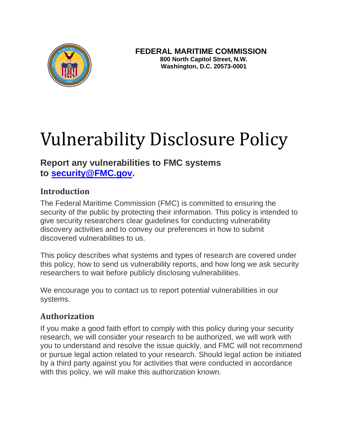

# Vulnerability Disclosure Policy

## **Report any vulnerabilities to FMC systems to [security@FMC.gov.](mailto:security@FMC.gov)**

#### **Introduction**

The Federal Maritime Commission (FMC) is committed to ensuring the security of the public by protecting their information. This policy is intended to give security researchers clear guidelines for conducting vulnerability discovery activities and to convey our preferences in how to submit discovered vulnerabilities to us.

This policy describes what systems and types of research are covered under this policy, how to send us vulnerability reports, and how long we ask security researchers to wait before publicly disclosing vulnerabilities.

We encourage you to contact us to report potential vulnerabilities in our systems.

#### **Authorization**

If you make a good faith effort to comply with this policy during your security research, we will consider your research to be authorized, we will work with you to understand and resolve the issue quickly, and FMC will not recommend or pursue legal action related to your research. Should legal action be initiated by a third party against you for activities that were conducted in accordance with this policy, we will make this authorization known.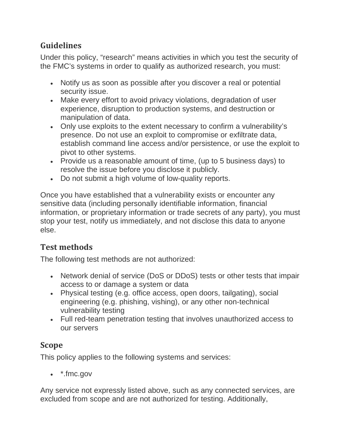# **Guidelines**

Under this policy, "research" means activities in which you test the security of the FMC's systems in order to qualify as authorized research, you must:

- Notify us as soon as possible after you discover a real or potential security issue.
- Make every effort to avoid privacy violations, degradation of user experience, disruption to production systems, and destruction or manipulation of data.
- Only use exploits to the extent necessary to confirm a vulnerability's presence. Do not use an exploit to compromise or exfiltrate data, establish command line access and/or persistence, or use the exploit to pivot to other systems.
- Provide us a reasonable amount of time, (up to 5 business days) to resolve the issue before you disclose it publicly.
- Do not submit a high volume of low-quality reports.

Once you have established that a vulnerability exists or encounter any sensitive data (including personally identifiable information, financial information, or proprietary information or trade secrets of any party), you must stop your test, notify us immediately, and not disclose this data to anyone else.

# **Test methods**

The following test methods are not authorized:

- Network denial of service (DoS or DDoS) tests or other tests that impair access to or damage a system or data
- Physical testing (e.g. office access, open doors, tailgating), social engineering (e.g. phishing, vishing), or any other non-technical vulnerability testing
- Full red-team penetration testing that involves unauthorized access to our servers

### **Scope**

This policy applies to the following systems and services:

• \*.fmc.gov

Any service not expressly listed above, such as any connected services, are excluded from scope and are not authorized for testing. Additionally,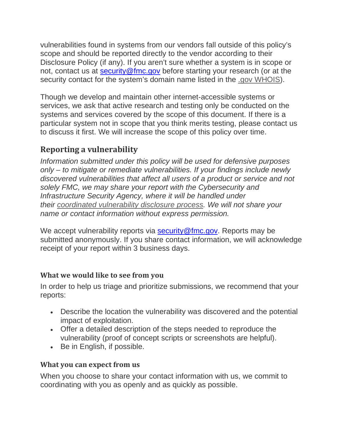vulnerabilities found in systems from our vendors fall outside of this policy's scope and should be reported directly to the vendor according to their Disclosure Policy (if any). If you aren't sure whether a system is in scope or not, contact us at [security@fmc.gov](mailto:security@fmc.gov) before starting your research (or at the security contact for the system's domain name listed in the [.gov WHOIS\)](https://domains.dotgov.gov/dotgov-web/registration/whois.xhtml).

Though we develop and maintain other internet-accessible systems or services, we ask that active research and testing only be conducted on the systems and services covered by the scope of this document. If there is a particular system not in scope that you think merits testing, please contact us to discuss it first. We will increase the scope of this policy over time.

## **Reporting a vulnerability**

*Information submitted under this policy will be used for defensive purposes only – to mitigate or remediate vulnerabilities. If your findings include newly discovered vulnerabilities that affect all users of a product or service and not solely FMC, we may share your report with the Cybersecurity and Infrastructure Security Agency, where it will be handled under their [coordinated vulnerability disclosure process.](https://www.cisa.gov/coordinated-vulnerability-disclosure-process) We will not share your name or contact information without express permission.*

We accept vulnerability reports via [security@fmc.gov.](mailto:security@fmc.gov) Reports may be submitted anonymously. If you share contact information, we will acknowledge receipt of your report within 3 business days.

#### **What we would like to see from you**

In order to help us triage and prioritize submissions, we recommend that your reports:

- Describe the location the vulnerability was discovered and the potential impact of exploitation.
- Offer a detailed description of the steps needed to reproduce the vulnerability (proof of concept scripts or screenshots are helpful).
- Be in English, if possible.

#### **What you can expect from us**

When you choose to share your contact information with us, we commit to coordinating with you as openly and as quickly as possible.